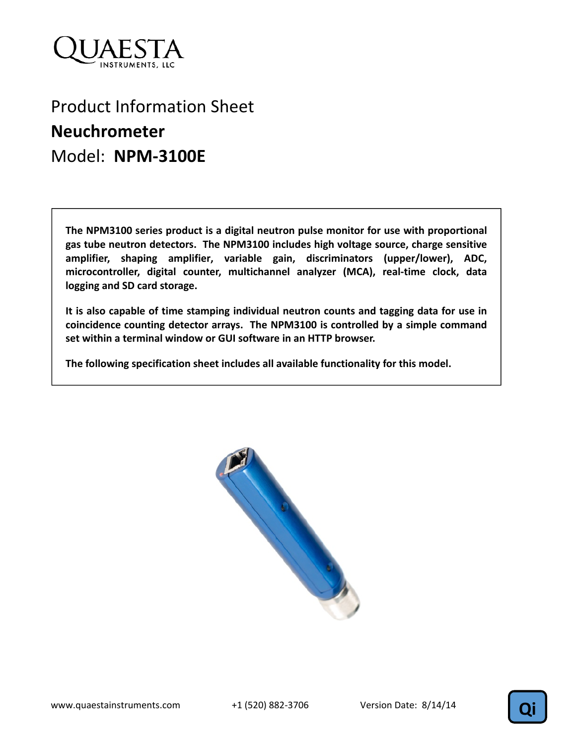

## Product Information Sheet **Neuchrometer**  Model: **NPM‐3100E**

**The NPM3100 series product is a digital neutron pulse monitor for use with proportional gas tube neutron detectors. The NPM3100 includes high voltage source, charge sensitive amplifier, shaping amplifier, variable gain, discriminators (upper/lower), ADC, microcontroller, digital counter, multichannel analyzer (MCA), real‐time clock, data logging and SD card storage.** 

**It is also capable of time stamping individual neutron counts and tagging data for use in coincidence counting detector arrays. The NPM3100 is controlled by a simple command set within a terminal window or GUI software in an HTTP browser.**

**The following specification sheet includes all available functionality for this model.** 



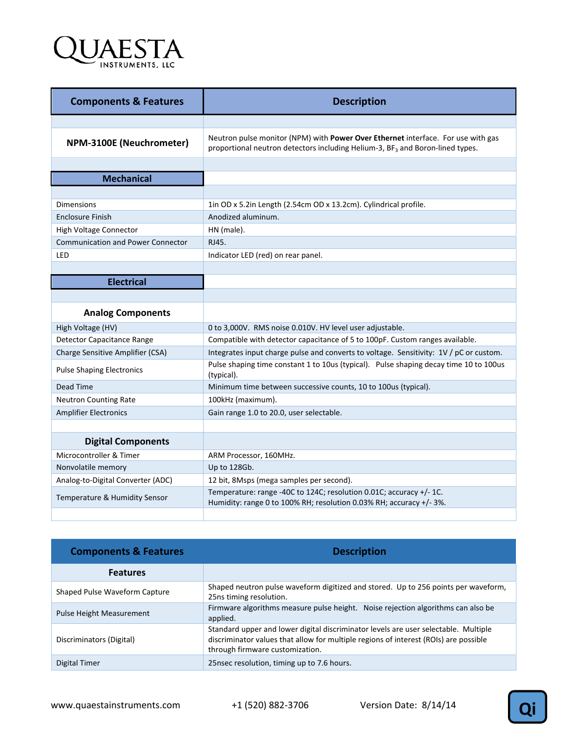

| <b>Description</b>                                                                                                                                                            |
|-------------------------------------------------------------------------------------------------------------------------------------------------------------------------------|
|                                                                                                                                                                               |
| Neutron pulse monitor (NPM) with Power Over Ethernet interface. For use with gas<br>proportional neutron detectors including Helium-3, BF <sub>3</sub> and Boron-lined types. |
|                                                                                                                                                                               |
|                                                                                                                                                                               |
|                                                                                                                                                                               |
| 1in OD x 5.2in Length (2.54cm OD x 13.2cm). Cylindrical profile.                                                                                                              |
| Anodized aluminum.                                                                                                                                                            |
| HN (male).                                                                                                                                                                    |
| RJ45.                                                                                                                                                                         |
| Indicator LED (red) on rear panel.                                                                                                                                            |
|                                                                                                                                                                               |
|                                                                                                                                                                               |
|                                                                                                                                                                               |
|                                                                                                                                                                               |
| 0 to 3,000V. RMS noise 0.010V. HV level user adjustable.                                                                                                                      |
| Compatible with detector capacitance of 5 to 100pF. Custom ranges available.                                                                                                  |
| Integrates input charge pulse and converts to voltage. Sensitivity: 1V / pC or custom.                                                                                        |
| Pulse shaping time constant 1 to 10us (typical). Pulse shaping decay time 10 to 100us<br>(typical).                                                                           |
| Minimum time between successive counts, 10 to 100us (typical).                                                                                                                |
| 100kHz (maximum).                                                                                                                                                             |
| Gain range 1.0 to 20.0, user selectable.                                                                                                                                      |
|                                                                                                                                                                               |
|                                                                                                                                                                               |
| ARM Processor, 160MHz.                                                                                                                                                        |
| Up to 128Gb.                                                                                                                                                                  |
| 12 bit, 8Msps (mega samples per second).                                                                                                                                      |
| Temperature: range -40C to 124C; resolution 0.01C; accuracy +/-1C.<br>Humidity: range 0 to 100% RH; resolution 0.03% RH; accuracy +/- 3%.                                     |
|                                                                                                                                                                               |

| <b>Components &amp; Features</b> | <b>Description</b>                                                                                                                                                                                             |
|----------------------------------|----------------------------------------------------------------------------------------------------------------------------------------------------------------------------------------------------------------|
| <b>Features</b>                  |                                                                                                                                                                                                                |
| Shaped Pulse Waveform Capture    | Shaped neutron pulse waveform digitized and stored. Up to 256 points per waveform,<br>25ns timing resolution.                                                                                                  |
| <b>Pulse Height Measurement</b>  | Firmware algorithms measure pulse height. Noise rejection algorithms can also be<br>applied.                                                                                                                   |
| Discriminators (Digital)         | Standard upper and lower digital discriminator levels are user selectable. Multiple<br>discriminator values that allow for multiple regions of interest (ROIs) are possible<br>through firmware customization. |
| Digital Timer                    | 25nsec resolution, timing up to 7.6 hours.                                                                                                                                                                     |